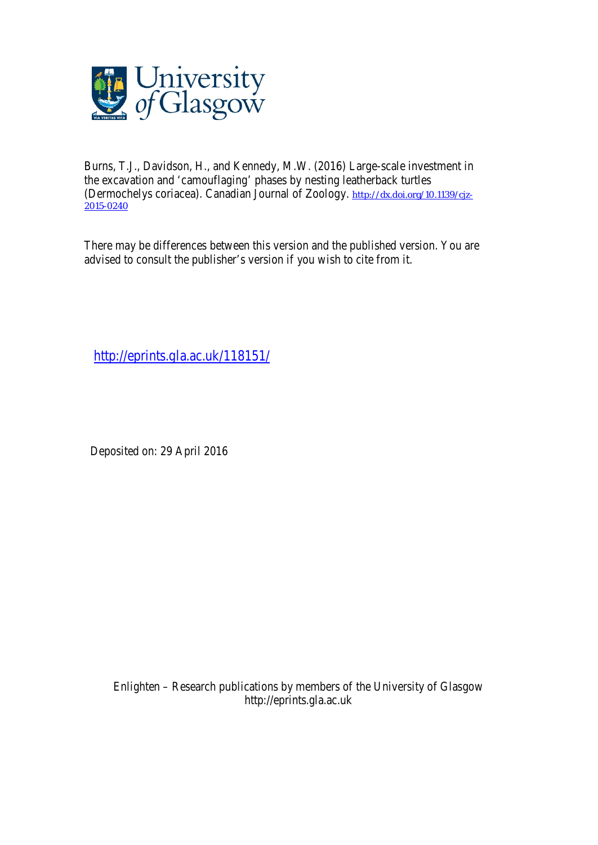

Burns, T.J., Davidson, H., and Kennedy, M.W. (2016) Large-scale investment in the excavation and 'camouflaging' phases by nesting leatherback turtles (Dermochelys coriacea). Canadian Journal of Zoology. http://dx.doi.org/10.1139/cjz-2015-0240

There may be differences between this version and the published version. You are advised to consult the publisher's version if you wish to cite from it.

http://eprints.gla.ac.uk/118151/

Deposited on: 29 April 2016

Enlighten – Research publications by members of the University of Glasgow http://eprints.gla.ac.uk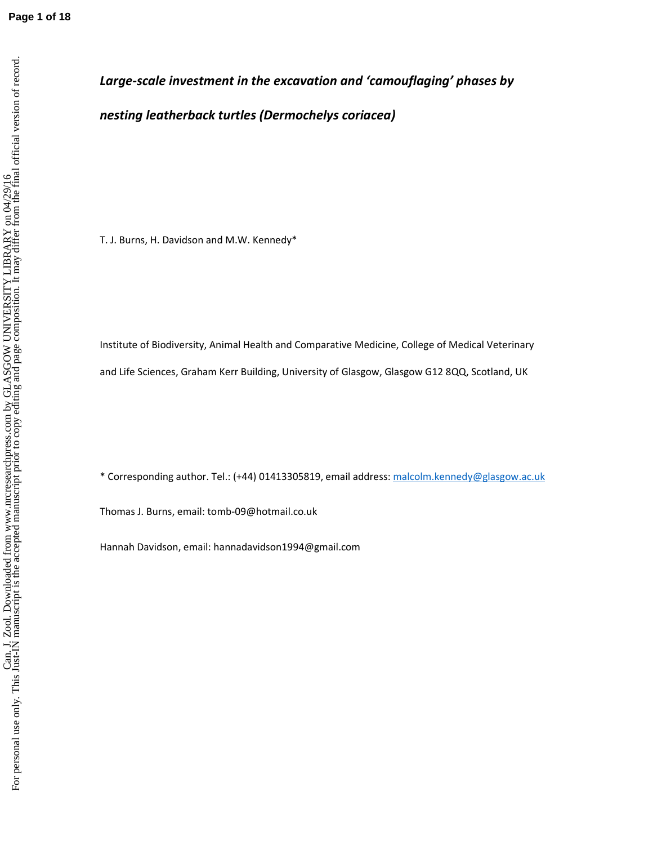# *Large-scale investment in the excavation and 'camouflaging' phases by*

# *nesting leatherback turtles (Dermochelys coriacea)*

T. J. Burns, H. Davidson and M.W. Kennedy\*

Institute of Biodiversity, Animal Health and Comparative Medicine, College of Medical Veterinary and Life Sciences, Graham Kerr Building, University of Glasgow, Glasgow G12 8QQ, Scotland, UK

\* Corresponding author. Tel.: (+44) 01413305819, email address: malcolm.kennedy@glasgow.ac.uk

Thomas J. Burns, email: tomb-09@hotmail.co.uk

Hannah Davidson, email: hannadavidson1994@gmail.com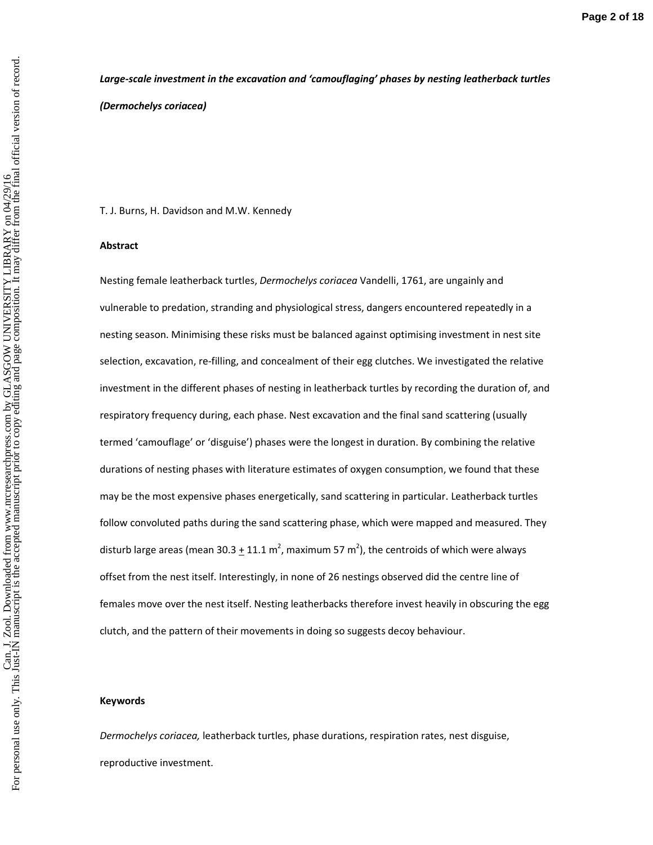# *Large-scale investment in the excavation and 'camouflaging' phases by nesting leatherback turtles*

# *(Dermochelys coriacea)*

#### T. J. Burns, H. Davidson and M.W. Kennedy

# **Abstract**

Nesting female leatherback turtles, *Dermochelys coriacea* Vandelli, 1761, are ungainly and vulnerable to predation, stranding and physiological stress, dangers encountered repeatedly in a nesting season. Minimising these risks must be balanced against optimising investment in nest site selection, excavation, re-filling, and concealment of their egg clutches. We investigated the relative investment in the different phases of nesting in leatherback turtles by recording the duration of, and respiratory frequency during, each phase. Nest excavation and the final sand scattering (usually termed 'camouflage' or 'disguise') phases were the longest in duration. By combining the relative durations of nesting phases with literature estimates of oxygen consumption, we found that these may be the most expensive phases energetically, sand scattering in particular. Leatherback turtles follow convoluted paths during the sand scattering phase, which were mapped and measured. They disturb large areas (mean 30.3  $\pm$  11.1 m<sup>2</sup>, maximum 57 m<sup>2</sup>), the centroids of which were always offset from the nest itself. Interestingly, in none of 26 nestings observed did the centre line of females move over the nest itself. Nesting leatherbacks therefore invest heavily in obscuring the egg clutch, and the pattern of their movements in doing so suggests decoy behaviour.

#### **Keywords**

*Dermochelys coriacea,* leatherback turtles, phase durations, respiration rates, nest disguise, reproductive investment.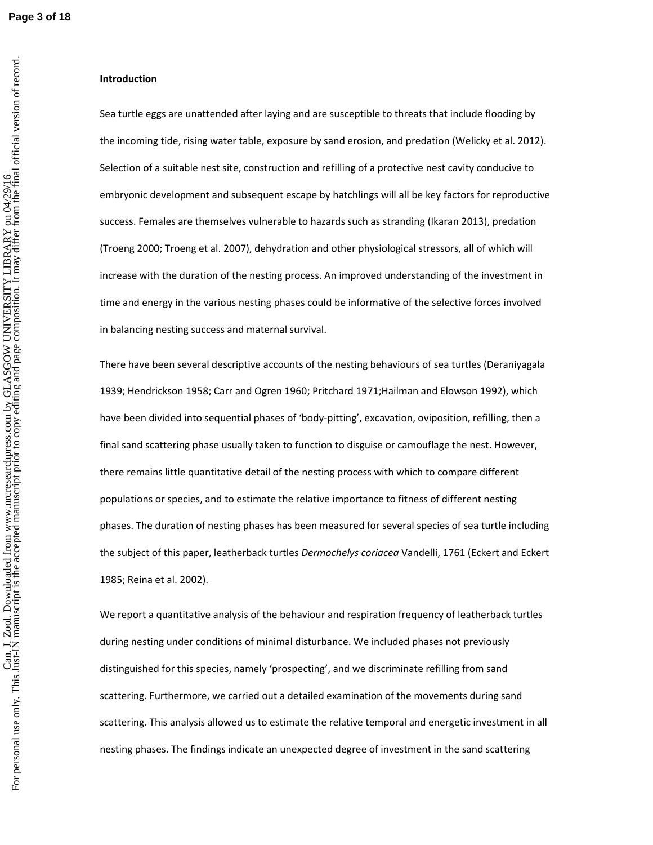**Introduction** 

Sea turtle eggs are unattended after laying and are susceptible to threats that include flooding by the incoming tide, rising water table, exposure by sand erosion, and predation (Welicky et al. 2012). Selection of a suitable nest site, construction and refilling of a protective nest cavity conducive to embryonic development and subsequent escape by hatchlings will all be key factors for reproductive success. Females are themselves vulnerable to hazards such as stranding (Ikaran 2013), predation (Troeng 2000; Troeng et al. 2007), dehydration and other physiological stressors, all of which will increase with the duration of the nesting process. An improved understanding of the investment in time and energy in the various nesting phases could be informative of the selective forces involved in balancing nesting success and maternal survival.

There have been several descriptive accounts of the nesting behaviours of sea turtles (Deraniyagala 1939; Hendrickson 1958; Carr and Ogren 1960; Pritchard 1971;Hailman and Elowson 1992), which have been divided into sequential phases of 'body-pitting', excavation, oviposition, refilling, then a final sand scattering phase usually taken to function to disguise or camouflage the nest. However, there remains little quantitative detail of the nesting process with which to compare different populations or species, and to estimate the relative importance to fitness of different nesting phases. The duration of nesting phases has been measured for several species of sea turtle including the subject of this paper, leatherback turtles *Dermochelys coriacea* Vandelli, 1761 (Eckert and Eckert 1985; Reina et al. 2002).

We report a quantitative analysis of the behaviour and respiration frequency of leatherback turtles during nesting under conditions of minimal disturbance. We included phases not previously distinguished for this species, namely 'prospecting', and we discriminate refilling from sand scattering. Furthermore, we carried out a detailed examination of the movements during sand scattering. This analysis allowed us to estimate the relative temporal and energetic investment in all nesting phases. The findings indicate an unexpected degree of investment in the sand scattering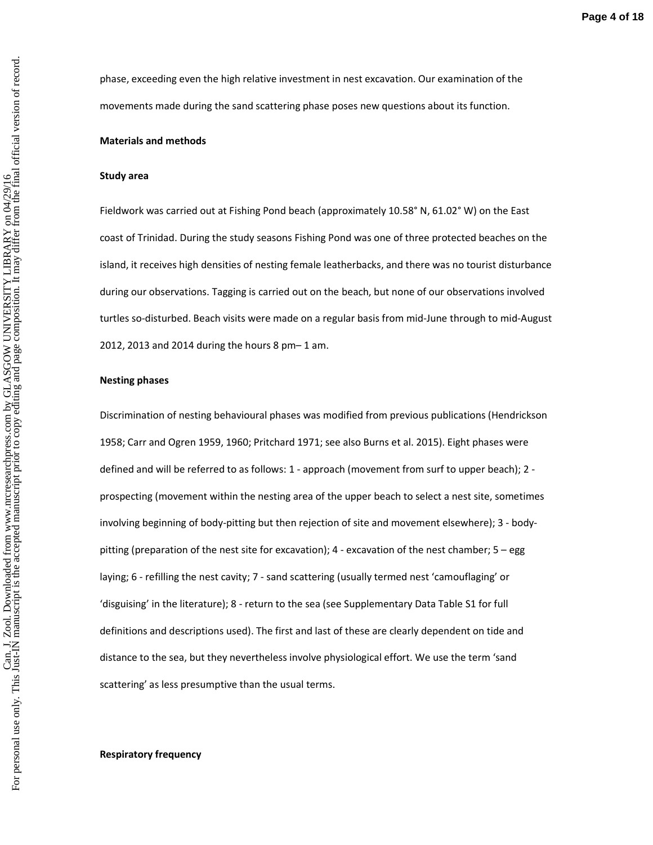phase, exceeding even the high relative investment in nest excavation. Our examination of the movements made during the sand scattering phase poses new questions about its function.

# **Materials and methods**

#### **Study area**

Fieldwork was carried out at Fishing Pond beach (approximately 10.58° N, 61.02° W) on the East coast of Trinidad. During the study seasons Fishing Pond was one of three protected beaches on the island, it receives high densities of nesting female leatherbacks, and there was no tourist disturbance during our observations. Tagging is carried out on the beach, but none of our observations involved turtles so-disturbed. Beach visits were made on a regular basis from mid-June through to mid-August 2012, 2013 and 2014 during the hours 8 pm– 1 am.

#### **Nesting phases**

Discrimination of nesting behavioural phases was modified from previous publications (Hendrickson 1958; Carr and Ogren 1959, 1960; Pritchard 1971; see also Burns et al. 2015). Eight phases were defined and will be referred to as follows: 1 - approach (movement from surf to upper beach); 2 prospecting (movement within the nesting area of the upper beach to select a nest site, sometimes involving beginning of body-pitting but then rejection of site and movement elsewhere); 3 - bodypitting (preparation of the nest site for excavation); 4 - excavation of the nest chamber; 5 – egg laying; 6 - refilling the nest cavity; 7 - sand scattering (usually termed nest 'camouflaging' or 'disguising' in the literature); 8 - return to the sea (see Supplementary Data Table S1 for full definitions and descriptions used). The first and last of these are clearly dependent on tide and distance to the sea, but they nevertheless involve physiological effort. We use the term 'sand scattering' as less presumptive than the usual terms.

#### **Respiratory frequency**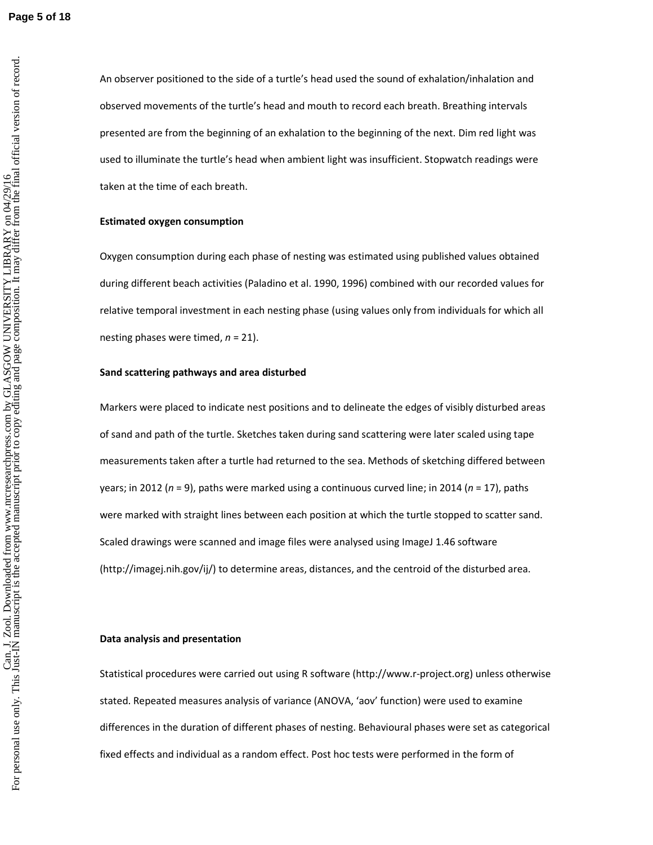An observer positioned to the side of a turtle's head used the sound of exhalation/inhalation and observed movements of the turtle's head and mouth to record each breath. Breathing intervals presented are from the beginning of an exhalation to the beginning of the next. Dim red light was used to illuminate the turtle's head when ambient light was insufficient. Stopwatch readings were taken at the time of each breath.

#### **Estimated oxygen consumption**

Oxygen consumption during each phase of nesting was estimated using published values obtained during different beach activities (Paladino et al. 1990, 1996) combined with our recorded values for relative temporal investment in each nesting phase (using values only from individuals for which all nesting phases were timed, *n* = 21).

#### **Sand scattering pathways and area disturbed**

Markers were placed to indicate nest positions and to delineate the edges of visibly disturbed areas of sand and path of the turtle. Sketches taken during sand scattering were later scaled using tape measurements taken after a turtle had returned to the sea. Methods of sketching differed between years; in 2012 (*n* = 9), paths were marked using a continuous curved line; in 2014 (*n* = 17), paths were marked with straight lines between each position at which the turtle stopped to scatter sand. Scaled drawings were scanned and image files were analysed using ImageJ 1.46 software (http://imagej.nih.gov/ij/) to determine areas, distances, and the centroid of the disturbed area.

# **Data analysis and presentation**

Statistical procedures were carried out using R software (http://www.r-project.org) unless otherwise stated. Repeated measures analysis of variance (ANOVA, 'aov' function) were used to examine differences in the duration of different phases of nesting. Behavioural phases were set as categorical fixed effects and individual as a random effect. Post hoc tests were performed in the form of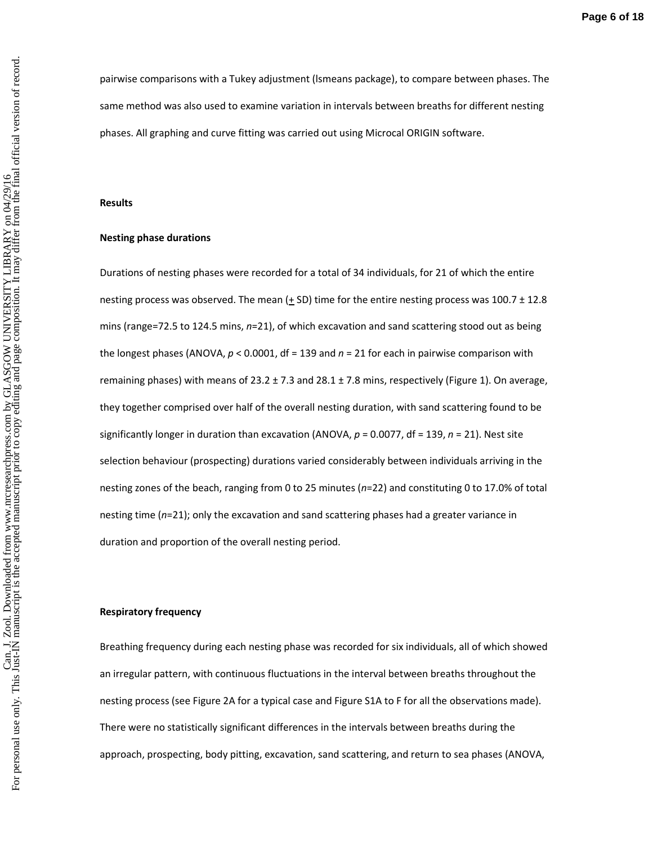pairwise comparisons with a Tukey adjustment (lsmeans package), to compare between phases. The same method was also used to examine variation in intervals between breaths for different nesting phases. All graphing and curve fitting was carried out using Microcal ORIGIN software.

# **Results**

#### **Nesting phase durations**

Durations of nesting phases were recorded for a total of 34 individuals, for 21 of which the entire nesting process was observed. The mean  $(+)$  SD) time for the entire nesting process was 100.7  $\pm$  12.8 mins (range=72.5 to 124.5 mins, *n*=21), of which excavation and sand scattering stood out as being the longest phases (ANOVA,  $p < 0.0001$ , df = 139 and  $n = 21$  for each in pairwise comparison with remaining phases) with means of  $23.2 \pm 7.3$  and  $28.1 \pm 7.8$  mins, respectively (Figure 1). On average, they together comprised over half of the overall nesting duration, with sand scattering found to be significantly longer in duration than excavation (ANOVA, *p* = 0.0077, df = 139, *n* = 21). Nest site selection behaviour (prospecting) durations varied considerably between individuals arriving in the nesting zones of the beach, ranging from 0 to 25 minutes (*n*=22) and constituting 0 to 17.0% of total nesting time (*n*=21); only the excavation and sand scattering phases had a greater variance in duration and proportion of the overall nesting period.

# **Respiratory frequency**

Breathing frequency during each nesting phase was recorded for six individuals, all of which showed an irregular pattern, with continuous fluctuations in the interval between breaths throughout the nesting process (see Figure 2A for a typical case and Figure S1A to F for all the observations made). There were no statistically significant differences in the intervals between breaths during the approach, prospecting, body pitting, excavation, sand scattering, and return to sea phases (ANOVA,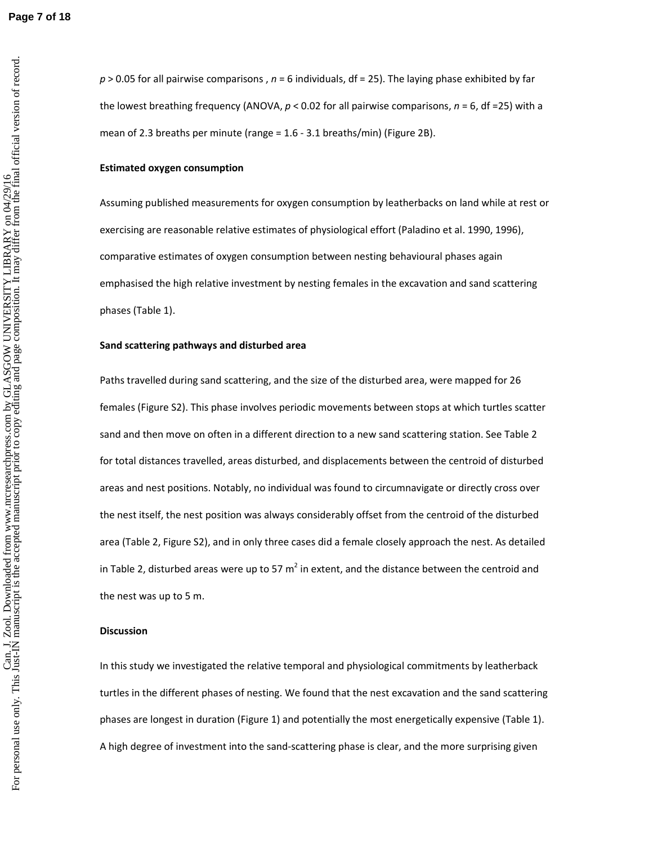*p* > 0.05 for all pairwise comparisons , *n* = 6 individuals, df = 25). The laying phase exhibited by far the lowest breathing frequency (ANOVA, *p* < 0.02 for all pairwise comparisons, *n* = 6, df =25) with a mean of 2.3 breaths per minute (range = 1.6 - 3.1 breaths/min) (Figure 2B).

# **Estimated oxygen consumption**

Assuming published measurements for oxygen consumption by leatherbacks on land while at rest or exercising are reasonable relative estimates of physiological effort (Paladino et al. 1990, 1996), comparative estimates of oxygen consumption between nesting behavioural phases again emphasised the high relative investment by nesting females in the excavation and sand scattering phases (Table 1).

## **Sand scattering pathways and disturbed area**

Paths travelled during sand scattering, and the size of the disturbed area, were mapped for 26 females (Figure S2). This phase involves periodic movements between stops at which turtles scatter sand and then move on often in a different direction to a new sand scattering station. See Table 2 for total distances travelled, areas disturbed, and displacements between the centroid of disturbed areas and nest positions. Notably, no individual was found to circumnavigate or directly cross over the nest itself, the nest position was always considerably offset from the centroid of the disturbed area (Table 2, Figure S2), and in only three cases did a female closely approach the nest. As detailed in Table 2, disturbed areas were up to 57  $m^2$  in extent, and the distance between the centroid and the nest was up to 5 m.

#### **Discussion**

In this study we investigated the relative temporal and physiological commitments by leatherback turtles in the different phases of nesting. We found that the nest excavation and the sand scattering phases are longest in duration (Figure 1) and potentially the most energetically expensive (Table 1). A high degree of investment into the sand-scattering phase is clear, and the more surprising given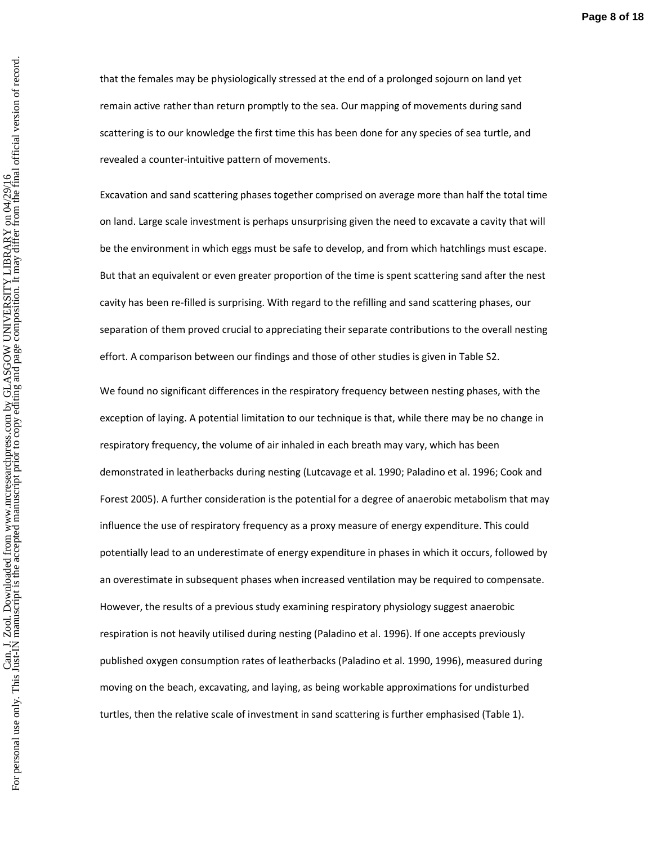that the females may be physiologically stressed at the end of a prolonged sojourn on land yet remain active rather than return promptly to the sea. Our mapping of movements during sand scattering is to our knowledge the first time this has been done for any species of sea turtle, and revealed a counter-intuitive pattern of movements.

Excavation and sand scattering phases together comprised on average more than half the total time on land. Large scale investment is perhaps unsurprising given the need to excavate a cavity that will be the environment in which eggs must be safe to develop, and from which hatchlings must escape. But that an equivalent or even greater proportion of the time is spent scattering sand after the nest cavity has been re-filled is surprising. With regard to the refilling and sand scattering phases, our separation of them proved crucial to appreciating their separate contributions to the overall nesting effort. A comparison between our findings and those of other studies is given in Table S2.

We found no significant differences in the respiratory frequency between nesting phases, with the exception of laying. A potential limitation to our technique is that, while there may be no change in respiratory frequency, the volume of air inhaled in each breath may vary, which has been demonstrated in leatherbacks during nesting (Lutcavage et al. 1990; Paladino et al. 1996; Cook and Forest 2005). A further consideration is the potential for a degree of anaerobic metabolism that may influence the use of respiratory frequency as a proxy measure of energy expenditure. This could potentially lead to an underestimate of energy expenditure in phases in which it occurs, followed by an overestimate in subsequent phases when increased ventilation may be required to compensate. However, the results of a previous study examining respiratory physiology suggest anaerobic respiration is not heavily utilised during nesting (Paladino et al. 1996). If one accepts previously published oxygen consumption rates of leatherbacks (Paladino et al. 1990, 1996), measured during moving on the beach, excavating, and laying, as being workable approximations for undisturbed turtles, then the relative scale of investment in sand scattering is further emphasised (Table 1).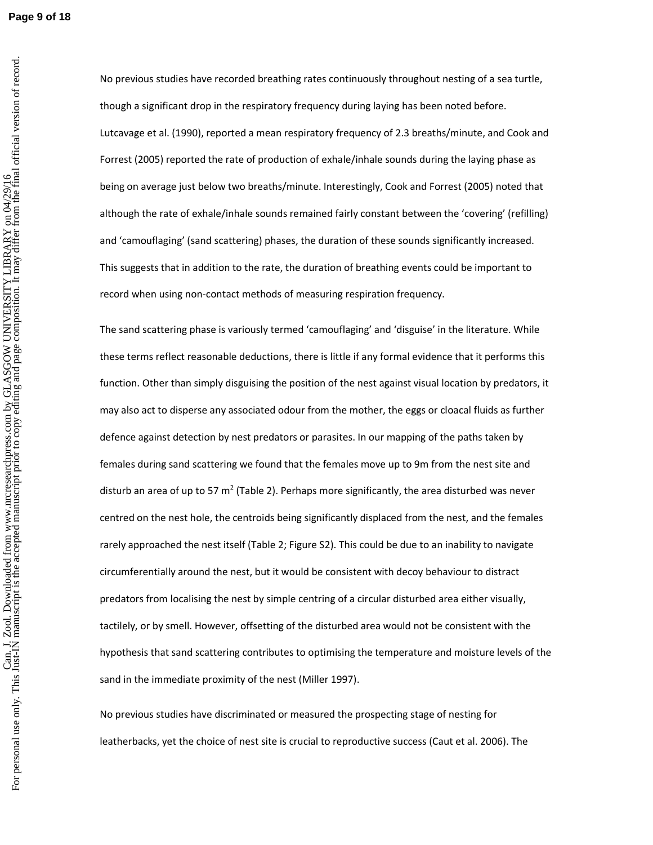No previous studies have recorded breathing rates continuously throughout nesting of a sea turtle, though a significant drop in the respiratory frequency during laying has been noted before. Lutcavage et al. (1990), reported a mean respiratory frequency of 2.3 breaths/minute, and Cook and Forrest (2005) reported the rate of production of exhale/inhale sounds during the laying phase as being on average just below two breaths/minute. Interestingly, Cook and Forrest (2005) noted that although the rate of exhale/inhale sounds remained fairly constant between the 'covering' (refilling) and 'camouflaging' (sand scattering) phases, the duration of these sounds significantly increased. This suggests that in addition to the rate, the duration of breathing events could be important to record when using non-contact methods of measuring respiration frequency.

The sand scattering phase is variously termed 'camouflaging' and 'disguise' in the literature. While these terms reflect reasonable deductions, there is little if any formal evidence that it performs this function. Other than simply disguising the position of the nest against visual location by predators, it may also act to disperse any associated odour from the mother, the eggs or cloacal fluids as further defence against detection by nest predators or parasites. In our mapping of the paths taken by females during sand scattering we found that the females move up to 9m from the nest site and disturb an area of up to 57 m<sup>2</sup> (Table 2). Perhaps more significantly, the area disturbed was never centred on the nest hole, the centroids being significantly displaced from the nest, and the females rarely approached the nest itself (Table 2; Figure S2). This could be due to an inability to navigate circumferentially around the nest, but it would be consistent with decoy behaviour to distract predators from localising the nest by simple centring of a circular disturbed area either visually, tactilely, or by smell. However, offsetting of the disturbed area would not be consistent with the hypothesis that sand scattering contributes to optimising the temperature and moisture levels of the sand in the immediate proximity of the nest (Miller 1997).

No previous studies have discriminated or measured the prospecting stage of nesting for leatherbacks, yet the choice of nest site is crucial to reproductive success (Caut et al. 2006). The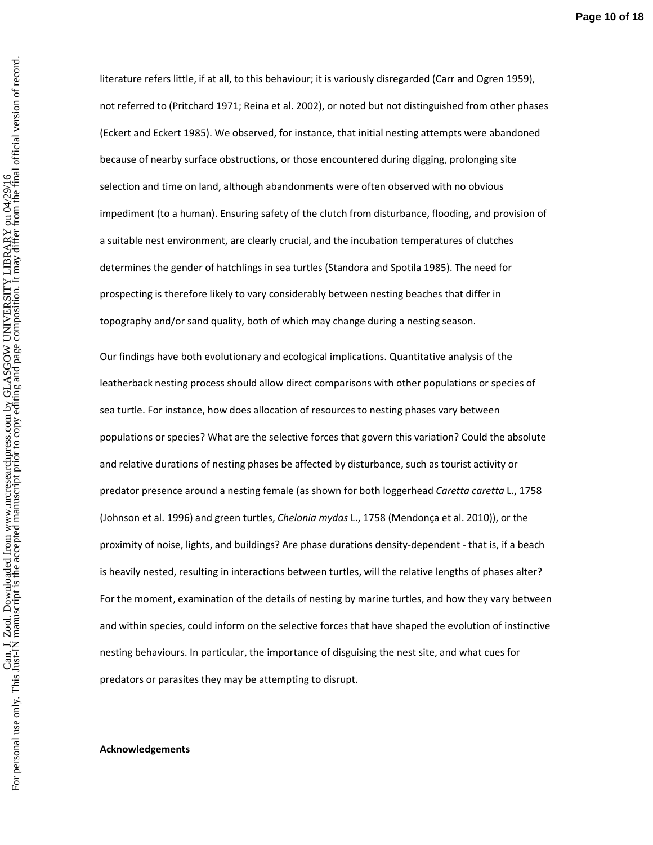literature refers little, if at all, to this behaviour; it is variously disregarded (Carr and Ogren 1959), not referred to (Pritchard 1971; Reina et al. 2002), or noted but not distinguished from other phases (Eckert and Eckert 1985). We observed, for instance, that initial nesting attempts were abandoned because of nearby surface obstructions, or those encountered during digging, prolonging site selection and time on land, although abandonments were often observed with no obvious impediment (to a human). Ensuring safety of the clutch from disturbance, flooding, and provision of a suitable nest environment, are clearly crucial, and the incubation temperatures of clutches determines the gender of hatchlings in sea turtles (Standora and Spotila 1985). The need for prospecting is therefore likely to vary considerably between nesting beaches that differ in topography and/or sand quality, both of which may change during a nesting season.

Our findings have both evolutionary and ecological implications. Quantitative analysis of the leatherback nesting process should allow direct comparisons with other populations or species of sea turtle. For instance, how does allocation of resources to nesting phases vary between populations or species? What are the selective forces that govern this variation? Could the absolute and relative durations of nesting phases be affected by disturbance, such as tourist activity or predator presence around a nesting female (as shown for both loggerhead *Caretta caretta* L., 1758 (Johnson et al. 1996) and green turtles, *Chelonia mydas* L., 1758 (Mendonça et al. 2010)), or the proximity of noise, lights, and buildings? Are phase durations density-dependent - that is, if a beach is heavily nested, resulting in interactions between turtles, will the relative lengths of phases alter? For the moment, examination of the details of nesting by marine turtles, and how they vary between and within species, could inform on the selective forces that have shaped the evolution of instinctive nesting behaviours. In particular, the importance of disguising the nest site, and what cues for predators or parasites they may be attempting to disrupt.

#### **Acknowledgements**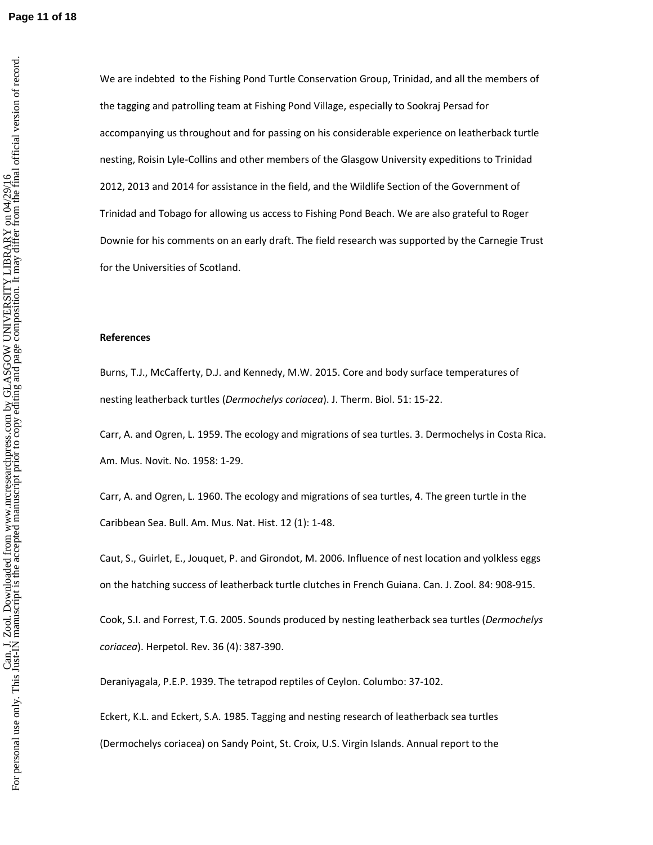We are indebted to the Fishing Pond Turtle Conservation Group, Trinidad, and all the members of the tagging and patrolling team at Fishing Pond Village, especially to Sookraj Persad for accompanying us throughout and for passing on his considerable experience on leatherback turtle nesting, Roisin Lyle-Collins and other members of the Glasgow University expeditions to Trinidad 2012, 2013 and 2014 for assistance in the field, and the Wildlife Section of the Government of Trinidad and Tobago for allowing us access to Fishing Pond Beach. We are also grateful to Roger Downie for his comments on an early draft. The field research was supported by the Carnegie Trust for the Universities of Scotland.

# **References**

Burns, T.J., McCafferty, D.J. and Kennedy, M.W. 2015. Core and body surface temperatures of nesting leatherback turtles (*Dermochelys coriacea*). J. Therm. Biol. 51: 15-22.

Carr, A. and Ogren, L. 1959. The ecology and migrations of sea turtles. 3. Dermochelys in Costa Rica. Am. Mus. Novit. No. 1958: 1-29.

Carr, A. and Ogren, L. 1960. The ecology and migrations of sea turtles, 4. The green turtle in the Caribbean Sea. Bull. Am. Mus. Nat. Hist. 12 (1): 1-48.

Caut, S., Guirlet, E., Jouquet, P. and Girondot, M. 2006. Influence of nest location and yolkless eggs on the hatching success of leatherback turtle clutches in French Guiana. Can. J. Zool. 84: 908-915.

Cook, S.I. and Forrest, T.G. 2005. Sounds produced by nesting leatherback sea turtles (*Dermochelys coriacea*). Herpetol. Rev. 36 (4): 387-390.

Deraniyagala, P.E.P. 1939. The tetrapod reptiles of Ceylon. Columbo: 37-102.

Eckert, K.L. and Eckert, S.A. 1985. Tagging and nesting research of leatherback sea turtles (Dermochelys coriacea) on Sandy Point, St. Croix, U.S. Virgin Islands. Annual report to the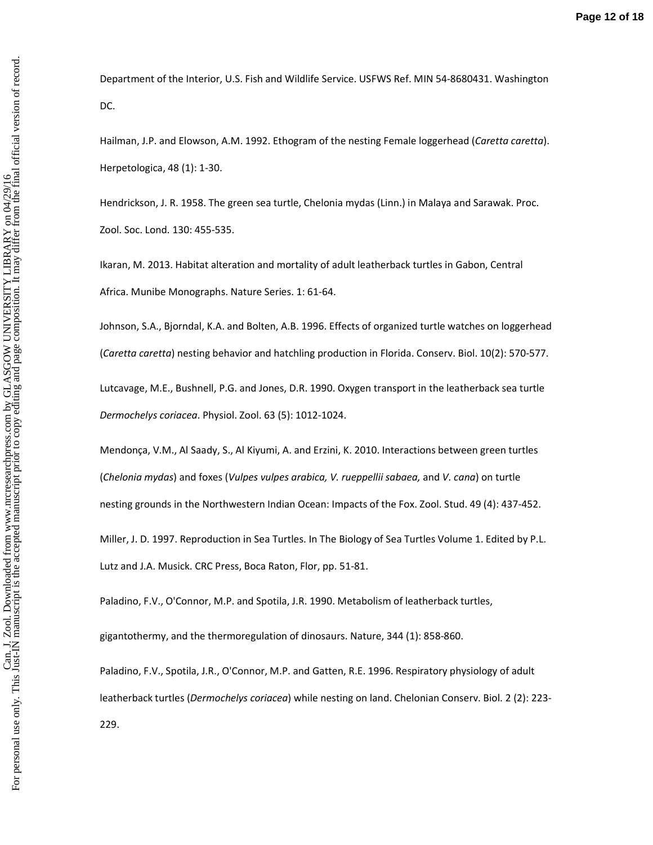Department of the Interior, U.S. Fish and Wildlife Service. USFWS Ref. MIN 54-8680431. Washington DC.

Hailman, J.P. and Elowson, A.M. 1992. Ethogram of the nesting Female loggerhead (*Caretta caretta*). Herpetologica, 48 (1): 1-30.

Hendrickson, J. R. 1958. The green sea turtle, Chelonia mydas (Linn.) in Malaya and Sarawak. Proc. Zool. Soc. Lond. 130: 455-535.

Ikaran, M. 2013. Habitat alteration and mortality of adult leatherback turtles in Gabon, Central Africa. Munibe Monographs. Nature Series. 1: 61-64.

Johnson, S.A., Bjorndal, K.A. and Bolten, A.B. 1996. Effects of organized turtle watches on loggerhead (*Caretta caretta*) nesting behavior and hatchling production in Florida. Conserv. Biol. 10(2): 570-577.

Lutcavage, M.E., Bushnell, P.G. and Jones, D.R. 1990. Oxygen transport in the leatherback sea turtle *Dermochelys coriacea*. Physiol. Zool. 63 (5): 1012-1024.

Mendonça, V.M., Al Saady, S., Al Kiyumi, A. and Erzini, K. 2010. Interactions between green turtles (*Chelonia mydas*) and foxes (*Vulpes vulpes arabica, V. rueppellii sabaea,* and *V. cana*) on turtle nesting grounds in the Northwestern Indian Ocean: Impacts of the Fox. Zool. Stud. 49 (4): 437-452.

Miller, J. D. 1997. Reproduction in Sea Turtles. In The Biology of Sea Turtles Volume 1. Edited by P.L. Lutz and J.A. Musick. CRC Press, Boca Raton, Flor, pp. 51-81.

Paladino, F.V., O'Connor, M.P. and Spotila, J.R. 1990. Metabolism of leatherback turtles,

gigantothermy, and the thermoregulation of dinosaurs. Nature, 344 (1): 858-860.

Paladino, F.V., Spotila, J.R., O'Connor, M.P. and Gatten, R.E. 1996. Respiratory physiology of adult leatherback turtles (*Dermochelys coriacea*) while nesting on land. Chelonian Conserv. Biol. 2 (2): 223- 229.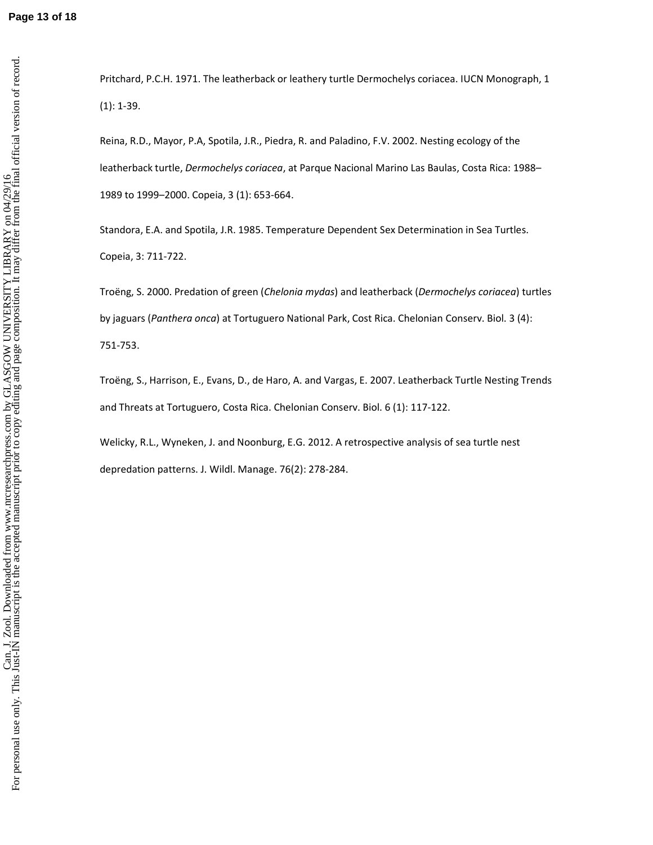Pritchard, P.C.H. 1971. The leatherback or leathery turtle Dermochelys coriacea. IUCN Monograph, 1 (1): 1-39.

Reina, R.D., Mayor, P.A, Spotila, J.R., Piedra, R. and Paladino, F.V. 2002. Nesting ecology of the leatherback turtle, *Dermochelys coriacea*, at Parque Nacional Marino Las Baulas, Costa Rica: 1988– 1989 to 1999–2000. Copeia, 3 (1): 653-664.

Standora, E.A. and Spotila, J.R. 1985. Temperature Dependent Sex Determination in Sea Turtles. Copeia, 3: 711-722.

Troëng, S. 2000. Predation of green (*Chelonia mydas*) and leatherback (*Dermochelys coriacea*) turtles by jaguars (*Panthera onca*) at Tortuguero National Park, Cost Rica. Chelonian Conserv. Biol. 3 (4): 751-753.

Troëng, S., Harrison, E., Evans, D., de Haro, A. and Vargas, E. 2007. Leatherback Turtle Nesting Trends and Threats at Tortuguero, Costa Rica. Chelonian Conserv. Biol. 6 (1): 117-122.

Welicky, R.L., Wyneken, J. and Noonburg, E.G. 2012. A retrospective analysis of sea turtle nest depredation patterns. J. Wildl. Manage. 76(2): 278-284.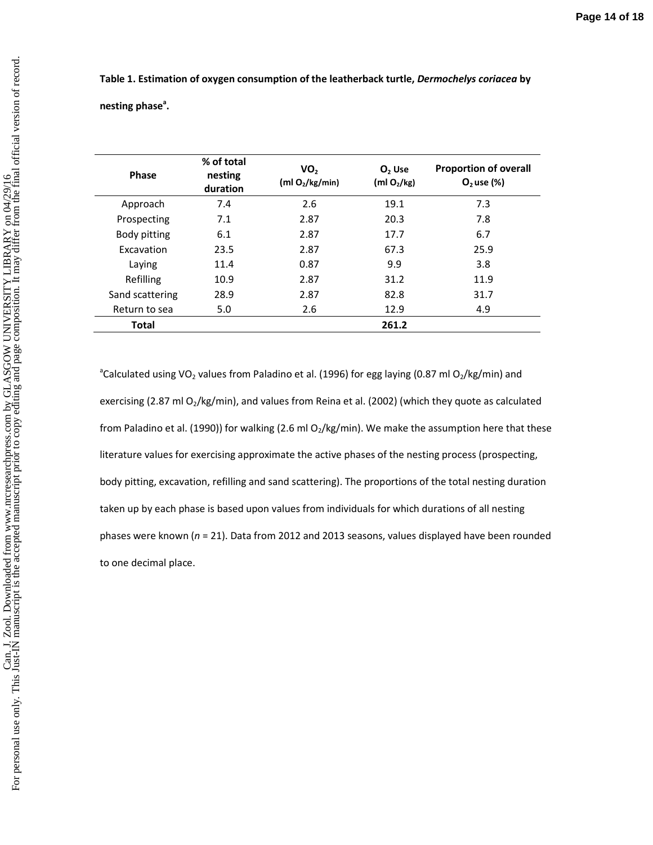**nesting phase<sup>a</sup> .**

| <b>Phase</b>      | % of total<br>nesting<br>duration | VO <sub>2</sub><br>(m10 <sub>2</sub> /kg/min) | $O2$ Use<br>(ml O <sub>2</sub> /kg) | <b>Proportion of overall</b><br>$O2$ use (%) |
|-------------------|-----------------------------------|-----------------------------------------------|-------------------------------------|----------------------------------------------|
| Approach          | 7.4                               | 2.6                                           | 19.1                                | 7.3                                          |
| Prospecting       | 7.1                               | 2.87                                          | 20.3                                | 7.8                                          |
| Body pitting      | 6.1                               | 2.87                                          | 17.7                                | 6.7                                          |
| <b>Excavation</b> | 23.5                              | 2.87                                          | 67.3                                | 25.9                                         |
| Laying            | 11.4                              | 0.87                                          | 9.9                                 | 3.8                                          |
| Refilling         | 10.9                              | 2.87                                          | 31.2                                | 11.9                                         |
| Sand scattering   | 28.9                              | 2.87                                          | 82.8                                | 31.7                                         |
| Return to sea     | 5.0                               | 2.6                                           | 12.9                                | 4.9                                          |
| <b>Total</b>      |                                   |                                               | 261.2                               |                                              |

<sup>a</sup>Calculated using VO<sub>2</sub> values from Paladino et al. (1996) for egg laying (0.87 ml O<sub>2</sub>/kg/min) and exercising (2.87 ml O<sub>2</sub>/kg/min), and values from Reina et al. (2002) (which they quote as calculated from Paladino et al. (1990)) for walking (2.6 ml O<sub>2</sub>/kg/min). We make the assumption here that these literature values for exercising approximate the active phases of the nesting process (prospecting, body pitting, excavation, refilling and sand scattering). The proportions of the total nesting duration taken up by each phase is based upon values from individuals for which durations of all nesting phases were known (*n* = 21). Data from 2012 and 2013 seasons, values displayed have been rounded to one decimal place.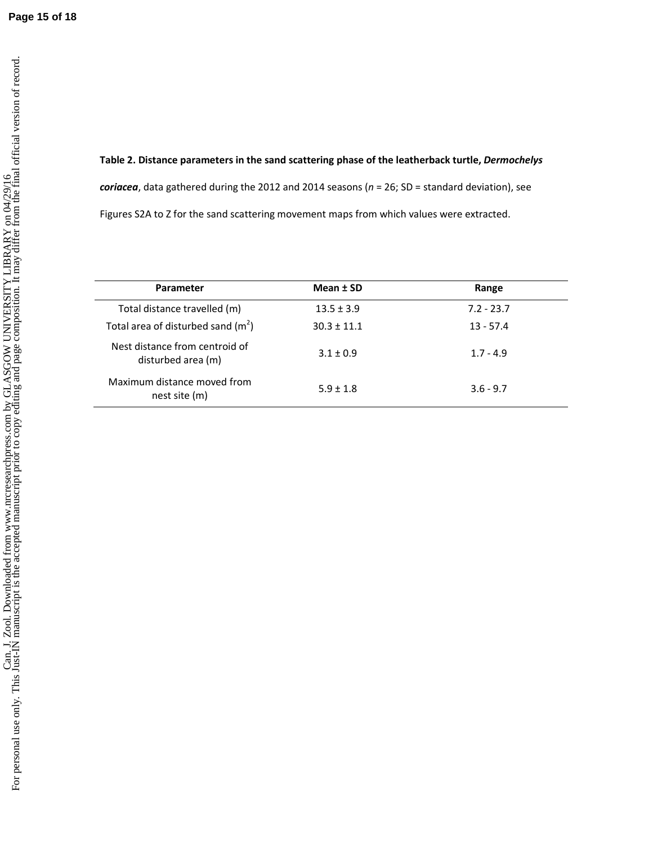# **Table 2. Distance parameters in the sand scattering phase of the leatherback turtle,** *Dermochelys*

*coriacea*, data gathered during the 2012 and 2014 seasons (*n* = 26; SD = standard deviation), see Figures S2A to Z for the sand scattering movement maps from which values were extracted.

| Parameter                                            | Mean $±$ SD     | Range        |
|------------------------------------------------------|-----------------|--------------|
| Total distance travelled (m)                         | $13.5 \pm 3.9$  | $7.2 - 23.7$ |
| Total area of disturbed sand $(m2)$                  | $30.3 \pm 11.1$ | $13 - 57.4$  |
| Nest distance from centroid of<br>disturbed area (m) | $3.1 \pm 0.9$   | $1.7 - 4.9$  |
| Maximum distance moved from<br>nest site (m)         | $5.9 \pm 1.8$   | $3.6 - 9.7$  |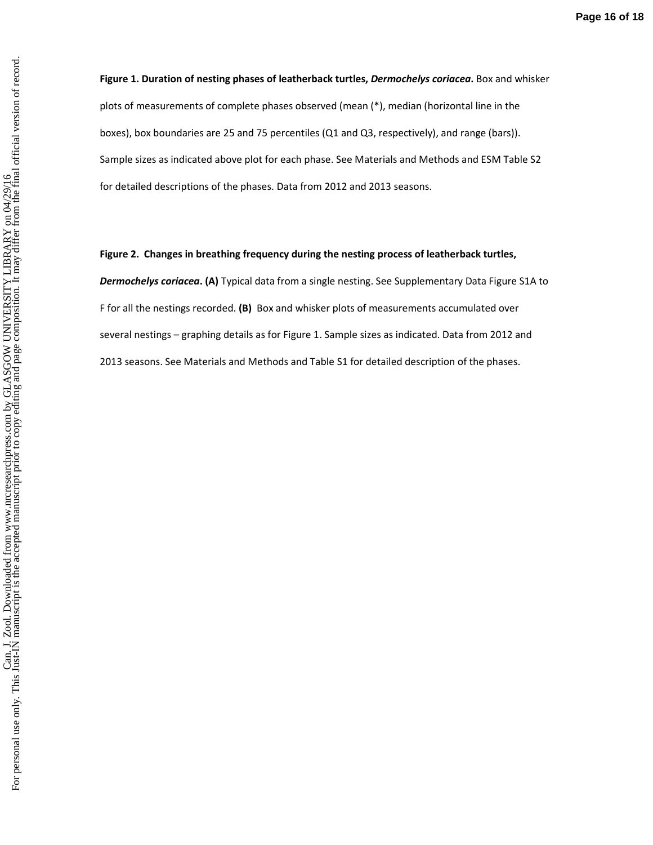## **Figure 1. Duration of nesting phases of leatherback turtles,** *Dermochelys coriacea***.** Box and whisker

plots of measurements of complete phases observed (mean (\*), median (horizontal line in the boxes), box boundaries are 25 and 75 percentiles (Q1 and Q3, respectively), and range (bars)). Sample sizes as indicated above plot for each phase. See Materials and Methods and ESM Table S2 for detailed descriptions of the phases. Data from 2012 and 2013 seasons.

## **Figure 2. Changes in breathing frequency during the nesting process of leatherback turtles,**

*Dermochelys coriacea***. (A)** Typical data from a single nesting. See Supplementary Data Figure S1A to F for all the nestings recorded. **(B)** Box and whisker plots of measurements accumulated over several nestings – graphing details as for Figure 1. Sample sizes as indicated. Data from 2012 and 2013 seasons. See Materials and Methods and Table S1 for detailed description of the phases.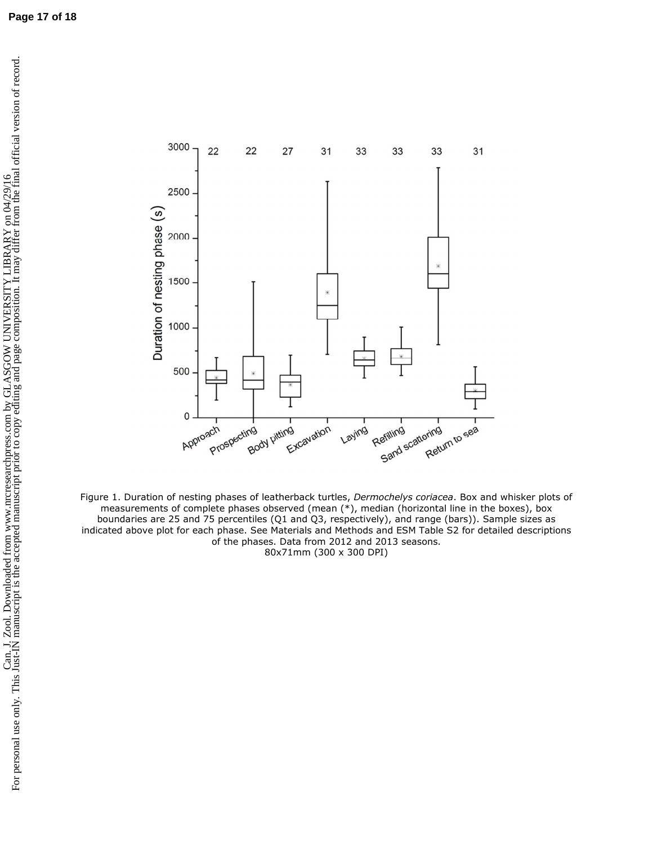

Figure 1. Duration of nesting phases of leatherback turtles, *Dermochelys coriacea*. Box and whisker plots of measurements of complete phases observed (mean (\*), median (horizontal line in the boxes), box boundaries are 25 and 75 percentiles (Q1 and Q3, respectively), and range (bars)). Sample sizes as indicated above plot for each phase. See Materials and Methods and ESM Table S2 for detailed descriptions of the phases. Data from 2012 and 2013 seasons. 80x71mm (300 x 300 DPI)